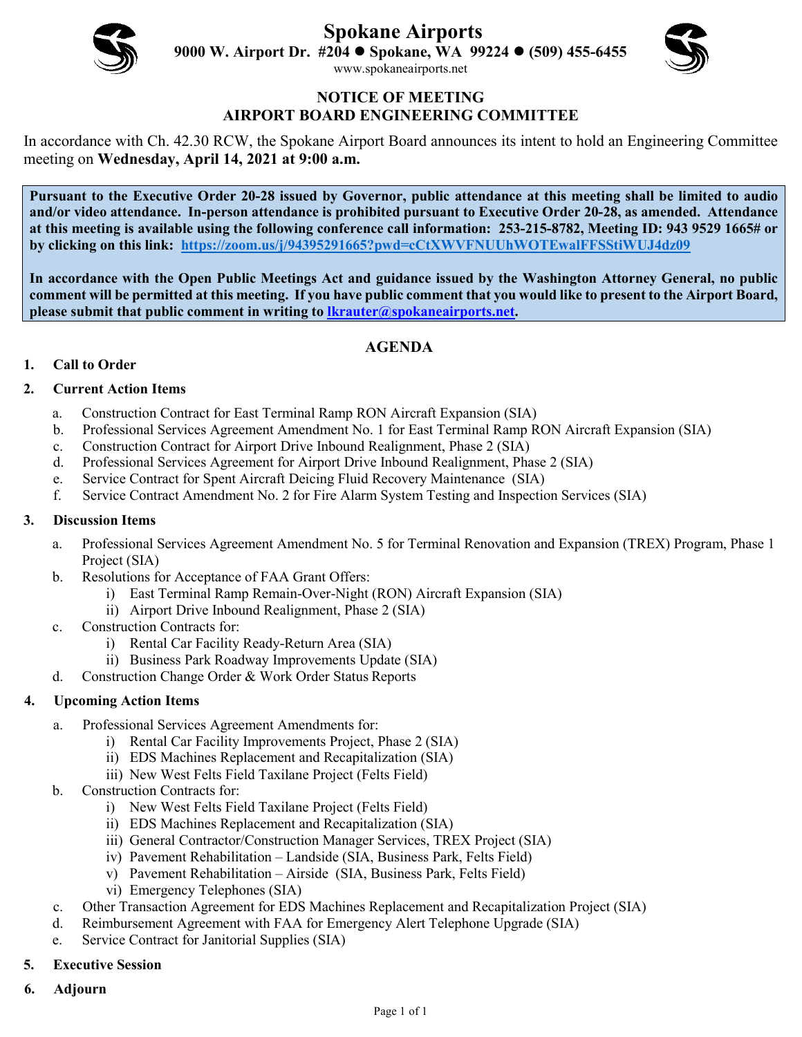

**Spokane Airports**

**9000 W. Airport Dr. #204 Spokane, WA 99224 (509) 455-6455**



[www.spokaneairports.net](http://www.spokaneairports.net/)

#### **NOTICE OF MEETING AIRPORT BOARD ENGINEERING COMMITTEE**

In accordance with Ch. 42.30 RCW, the Spokane Airport Board announces its intent to hold an Engineering Committee meeting on **Wednesday, April 14, 2021 at 9:00 a.m.** 

**Pursuant to the Executive Order 20-28 issued by Governor, public attendance at this meeting shall be limited to audio and/or video attendance. In-person attendance is prohibited pursuant to Executive Order 20-28, as amended. Attendance at this meeting is available using the following conference call information: 253-215-8782, Meeting ID: 943 9529 1665# or by clicking on this link: <https://zoom.us/j/94395291665?pwd=cCtXWVFNUUhWOTEwalFFSStiWUJ4dz09>**

**In accordance with the Open Public Meetings Act and guidance issued by the Washington Attorney General, no public comment will be permitted at this meeting. If you have public comment that you would like to present to the Airport Board, please submit that public comment in writing to [lkrauter@spokaneairports.net.](mailto:lkrauter@spokaneairports.net)**

# **AGENDA**

# **1. Call to Order**

## **2. Current Action Items**

- a. Construction Contract for East Terminal Ramp RON Aircraft Expansion (SIA)
- b. Professional Services Agreement Amendment No. 1 for East Terminal Ramp RON Aircraft Expansion (SIA)
- c. Construction Contract for Airport Drive Inbound Realignment, Phase 2 (SIA)
- d. Professional Services Agreement for Airport Drive Inbound Realignment, Phase 2 (SIA)
- e. Service Contract for Spent Aircraft Deicing Fluid Recovery Maintenance (SIA)
- f. Service Contract Amendment No. 2 for Fire Alarm System Testing and Inspection Services (SIA)

#### **3. Discussion Items**

- a. Professional Services Agreement Amendment No. 5 for Terminal Renovation and Expansion (TREX) Program, Phase 1 Project (SIA)
- b. Resolutions for Acceptance of FAA Grant Offers:
	- i) East Terminal Ramp Remain-Over-Night (RON) Aircraft Expansion (SIA)
	- ii) Airport Drive Inbound Realignment, Phase 2 (SIA)
- c. Construction Contracts for:
	- i) Rental Car Facility Ready-Return Area (SIA)
	- ii) Business Park Roadway Improvements Update (SIA)
- d. Construction Change Order & Work Order Status Reports

## **4. Upcoming Action Items**

- a. Professional Services Agreement Amendments for:
	- i) Rental Car Facility Improvements Project, Phase 2 (SIA)
	- ii) EDS Machines Replacement and Recapitalization (SIA)
	- iii) New West Felts Field Taxilane Project (Felts Field)
- b. Construction Contracts for:
	- i) New West Felts Field Taxilane Project (Felts Field)
	- ii) EDS Machines Replacement and Recapitalization (SIA)
	- iii) General Contractor/Construction Manager Services, TREX Project (SIA)
	- iv) Pavement Rehabilitation Landside (SIA, Business Park, Felts Field)
	- v) Pavement Rehabilitation Airside (SIA, Business Park, Felts Field)
	- vi) Emergency Telephones (SIA)
- c. Other Transaction Agreement for EDS Machines Replacement and Recapitalization Project (SIA)
- d. Reimbursement Agreement with FAA for Emergency Alert Telephone Upgrade (SIA)
- e. Service Contract for Janitorial Supplies (SIA)
- **5. Executive Session**
- **6. Adjourn**